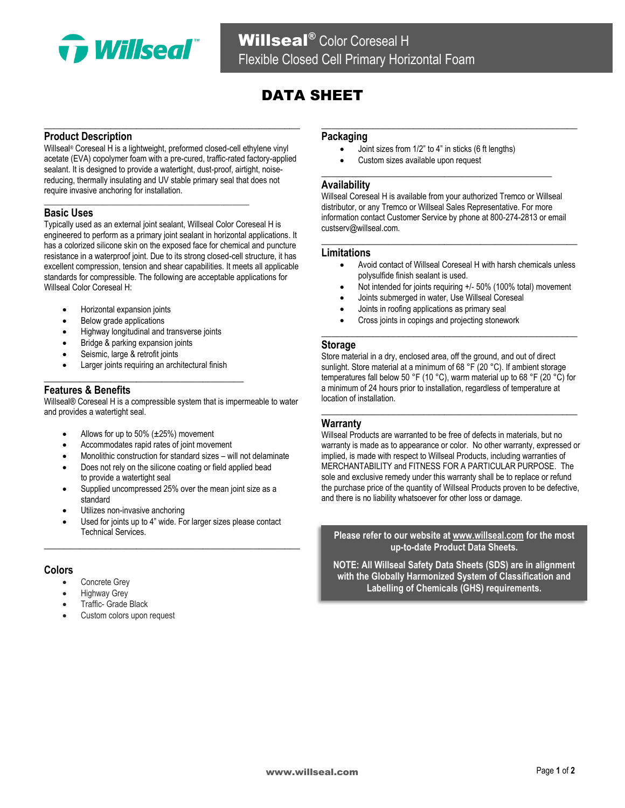

# DATA SHEET

# **Product Description**

Willseal® Coreseal H is a lightweight, preformed closed-cell ethylene vinyl acetate (EVA) copolymer foam with a pre-cured, traffic-rated factory-applied sealant. It is designed to provide a watertight, dust-proof, airtight, noisereducing, thermally insulating and UV stable primary seal that does not require invasive anchoring for installation.

**\_\_\_\_\_\_\_\_\_\_\_\_\_\_\_\_\_\_\_\_\_\_\_\_\_\_\_\_\_\_\_\_\_\_\_\_\_\_\_\_\_\_\_\_\_\_\_\_\_**

**\_\_\_\_\_\_\_\_\_\_\_\_\_\_\_\_\_\_\_\_\_\_\_\_\_\_\_\_\_\_\_\_\_\_\_\_\_\_\_\_\_\_\_\_\_\_\_\_\_\_**

# **Basic Uses**

Typically used as an external joint sealant, Willseal Color Coreseal H is engineered to perform as a primary joint sealant in horizontal applications. It has a colorized silicone skin on the exposed face for chemical and puncture resistance in a waterproof joint. Due to its strong closed-cell structure, it has excellent compression, tension and shear capabilities. It meets all applicable standards for compressible. The following are acceptable applications for Willseal Color Coreseal H:

- Horizontal expansion joints
- Below grade applications
- Highway longitudinal and transverse joints
- Bridge & parking expansion joints
- Seismic, large & retrofit joints
- Larger joints requiring an architectural finish **\_\_\_\_\_\_\_\_\_\_\_\_\_\_\_\_\_\_\_\_\_\_\_\_\_\_\_\_\_\_\_\_\_\_\_\_\_\_\_**

# **Features & Benefits**

Willseal® Coreseal H is a compressible system that is impermeable to water and provides a watertight seal.

- Allows for up to 50% (±25%) movement
- Accommodates rapid rates of joint movement
- Monolithic construction for standard sizes will not delaminate
- Does not rely on the silicone coating or field applied bead to provide a watertight seal
- Supplied uncompressed 25% over the mean joint size as a standard
- Utilizes non-invasive anchoring
- Used for joints up to 4" wide. For larger sizes please contact Technical Services. **\_\_\_\_\_\_\_\_\_\_\_\_\_\_\_\_\_\_\_\_\_\_\_\_\_\_\_\_\_\_\_\_\_\_\_\_\_\_\_\_\_\_\_\_\_\_\_\_\_\_**

### **Colors**

- Concrete Grey
- Highway Grey
- Traffic- Grade Black
- Custom colors upon request

#### **Packaging**

• Joint sizes from 1/2" to 4" in sticks (6 ft lengths)

**\_\_\_\_\_\_\_\_\_\_\_\_\_\_\_\_\_\_\_\_\_\_\_\_\_\_\_\_\_\_\_\_\_\_\_\_\_\_\_\_\_\_\_\_\_**

• Custom sizes available upon request

### **Availability**

Willseal Coreseal H is available from your authorized Tremco or Willseal distributor, or any Tremco or Willseal Sales Representative. For more information contact Customer Service by phone at 800-274-2813 or email custserv@willseal.com.

**\_\_\_\_\_\_\_\_\_\_\_\_\_\_\_\_\_\_\_\_\_\_\_\_\_\_\_\_\_\_\_\_\_\_\_\_\_\_\_\_\_\_\_\_\_\_\_\_\_\_**

**\_\_\_\_\_\_\_\_\_\_\_\_\_\_\_\_\_\_\_\_\_\_\_\_\_\_\_\_\_\_\_\_\_\_\_\_\_\_\_\_\_\_\_\_\_\_\_\_\_\_**

#### **Limitations**

- Avoid contact of Willseal Coreseal H with harsh chemicals unless polysulfide finish sealant is used.
- Not intended for joints requiring +/- 50% (100% total) movement
- Joints submerged in water, Use Willseal Coreseal
- Joints in roofing applications as primary seal
- Cross joints in copings and projecting stonework

#### **Storage**

Store material in a dry, enclosed area, off the ground, and out of direct sunlight. Store material at a minimum of 68 °F (20 °C). If ambient storage temperatures fall below 50 °F (10 °C), warm material up to 68 °F (20 °C) for a minimum of 24 hours prior to installation, regardless of temperature at location of installation.

**\_\_\_\_\_\_\_\_\_\_\_\_\_\_\_\_\_\_\_\_\_\_\_\_\_\_\_\_\_\_\_\_\_\_\_\_\_\_\_\_\_\_\_\_\_\_\_\_\_\_**

**\_\_\_\_\_\_\_\_\_\_\_\_\_\_\_\_\_\_\_\_\_\_\_\_\_\_\_\_\_\_\_\_\_\_\_\_\_\_\_\_\_\_\_\_\_\_\_\_\_\_**

### **Warranty**

Willseal Products are warranted to be free of defects in materials, but no warranty is made as to appearance or color. No other warranty, expressed or implied, is made with respect to Willseal Products, including warranties of MERCHANTABILITY and FITNESS FOR A PARTICULAR PURPOSE. The sole and exclusive remedy under this warranty shall be to replace or refund the purchase price of the quantity of Willseal Products proven to be defective, and there is no liability whatsoever for other loss or damage.

**Please refer to our website a[t www.willseal.com](http://www.willseal.com/) for the most up-to-date Product Data Sheets.**

**NOTE: All Willseal Safety Data Sheets (SDS) are in alignment with the Globally Harmonized System of Classification and Labelling of Chemicals (GHS) requirements.**